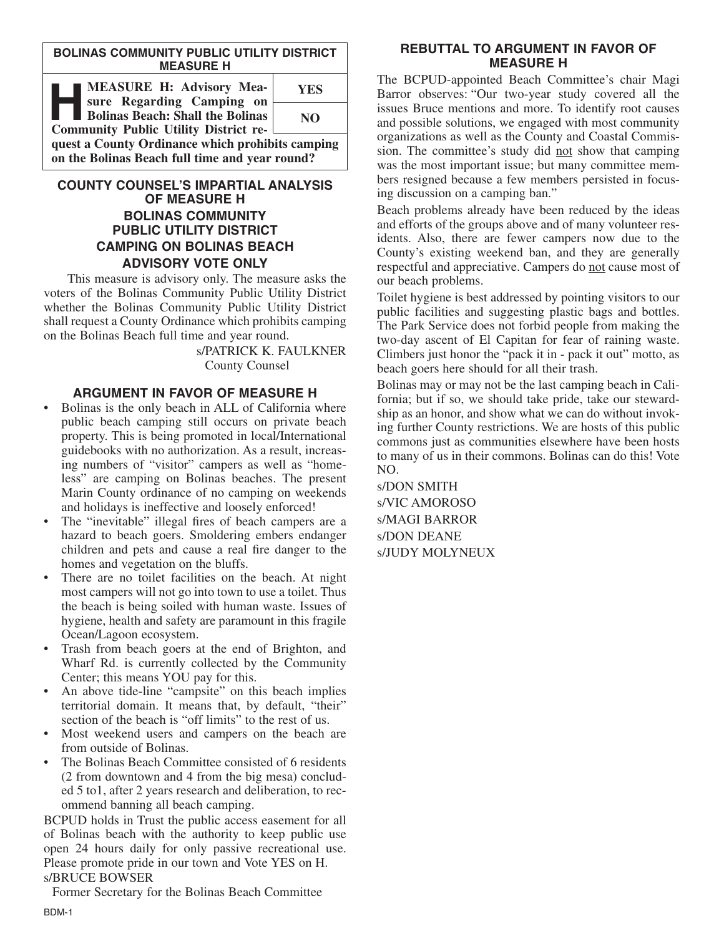#### **BOLINAS COMMUNITY PUBLIC UTILITY DISTRICT MEASURE H**

| <b>MEASURE H: Advisory Mea-</b><br>sure Regarding Camping on | <b>YES</b> |
|--------------------------------------------------------------|------------|
| <b>Bolinas Beach: Shall the Bolinas</b>                      | NO.        |
| <b>Community Public Utility District re-</b>                 |            |
| quest a County Ordinance which prohibits camping             |            |
| on the Bolinas Beach full time and year round?               |            |

# **COUNTY COUNSEL'S IMPARTIAL ANALYSIS OF MEASURE H BOLINAS COMMUNITY PUBLIC UTILITY DISTRICT CAMPING ON BOLINAS BEACH ADVISORY VOTE ONLY**

This measure is advisory only. The measure asks the voters of the Bolinas Community Public Utility District whether the Bolinas Community Public Utility District shall request a County Ordinance which prohibits camping on the Bolinas Beach full time and year round.

> s/PATRICK K. FAULKNER County Counsel

# **ARGUMENT IN FAVOR OF MEASURE H**

- Bolinas is the only beach in ALL of California where public beach camping still occurs on private beach property. This is being promoted in local/International guidebooks with no authorization. As a result, increasing numbers of "visitor" campers as well as "homeless" are camping on Bolinas beaches. The present Marin County ordinance of no camping on weekends and holidays is ineffective and loosely enforced!
- The "inevitable" illegal fires of beach campers are a hazard to beach goers. Smoldering embers endanger children and pets and cause a real fire danger to the homes and vegetation on the bluffs.
- There are no toilet facilities on the beach. At night most campers will not go into town to use a toilet. Thus the beach is being soiled with human waste. Issues of hygiene, health and safety are paramount in this fragile Ocean/Lagoon ecosystem.
- Trash from beach goers at the end of Brighton, and Wharf Rd. is currently collected by the Community Center; this means YOU pay for this.
- An above tide-line "campsite" on this beach implies territorial domain. It means that, by default, "their" section of the beach is "off limits" to the rest of us.
- Most weekend users and campers on the beach are from outside of Bolinas.
- The Bolinas Beach Committee consisted of 6 residents (2 from downtown and 4 from the big mesa) concluded 5 to1, after 2 years research and deliberation, to recommend banning all beach camping.

BCPUD holds in Trust the public access easement for all of Bolinas beach with the authority to keep public use open 24 hours daily for only passive recreational use. Please promote pride in our town and Vote YES on H. s/BRUCE BOWSER

Former Secretary for the Bolinas Beach Committee

### **REBUTTAL TO ARGUMENT IN FAVOR OF MEASURE H**

The BCPUD-appointed Beach Committee's chair Magi Barror observes: "Our two-year study covered all the issues Bruce mentions and more. To identify root causes and possible solutions, we engaged with most community organizations as well as the County and Coastal Commission. The committee's study did not show that camping was the most important issue; but many committee members resigned because a few members persisted in focusing discussion on a camping ban."

Beach problems already have been reduced by the ideas and efforts of the groups above and of many volunteer residents. Also, there are fewer campers now due to the County's existing weekend ban, and they are generally respectful and appreciative. Campers do not cause most of our beach problems.

Toilet hygiene is best addressed by pointing visitors to our public facilities and suggesting plastic bags and bottles. The Park Service does not forbid people from making the two-day ascent of El Capitan for fear of raining waste. Climbers just honor the "pack it in - pack it out" motto, as beach goers here should for all their trash.

Bolinas may or may not be the last camping beach in California; but if so, we should take pride, take our stewardship as an honor, and show what we can do without invoking further County restrictions. We are hosts of this public commons just as communities elsewhere have been hosts to many of us in their commons. Bolinas can do this! Vote NO.

s/DON SMITH s/VIC AMOROSO s/MAGI BARROR s/DON DEANE s/JUDY MOLYNEUX